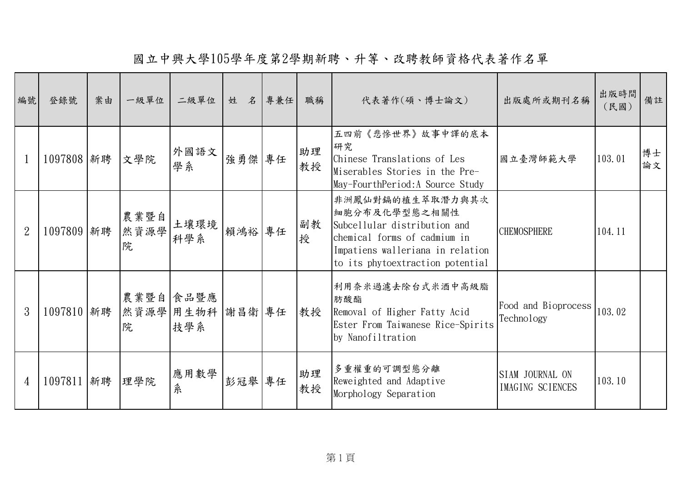國立中興大學105學年度第2學期新聘、升等、改聘教師資格代表著作名單

| 編號             | 登錄號            | 案由 | 一級單位              | 二級單位                    | 姓 名 專兼任 | 職稱       | 代表著作(碩、博士論文)                                                                                                                                                              | 出版處所或期刊名稱                           | 出版時間<br>(民國) | 備註       |
|----------------|----------------|----|-------------------|-------------------------|---------|----------|---------------------------------------------------------------------------------------------------------------------------------------------------------------------------|-------------------------------------|--------------|----------|
|                | 1097808 新聘 文學院 |    |                   | 外國語文<br>學系              | 強勇傑 專任  | 助理<br>教授 | 五四前《悲慘世界》故事中譯的底本<br>研究<br>Chinese Translations of Les<br>Miserables Stories in the Pre-<br>May-FourthPeriod: A Source Study                                               | 國立臺灣師範大學                            | 103.01       | 博士<br>論文 |
| $\overline{2}$ | 1097809 新聘     |    | 農業暨自<br>然資源學<br>院 | 土壤環境<br>科學系             | 賴鴻裕 專任  | 副教<br>授  | 非洲鳳仙對鎘的植生萃取潛力與其次<br>細胞分布及化學型態之相關性<br>Subcellular distribution and<br>chemical forms of cadmium in<br>Impatiens walleriana in relation<br>to its phytoextraction potential | <b>CHEMOSPHERE</b>                  | 104.11       |          |
| 3              | 1097810 新聘     |    | 農業暨自 食品暨應<br>院    | 然資源學 用生物科 謝昌衛 專任<br>技學系 |         | 教授       | 利用奈米過濾去除台式米酒中高級脂<br>肪酸酯<br>Removal of Higher Fatty Acid<br>Ester From Taiwanese Rice-Spirits<br>by Nanofiltration                                                         | Food and Bioprocess<br>Technology   | 103.02       |          |
| 4              | 1097811 新聘     |    | 理學院               | 應用數學<br>糸               | 彭冠舉 專任  | 助理<br>教授 | 多重權重的可調型態分離<br>Reweighted and Adaptive<br>Morphology Separation                                                                                                           | SIAM JOURNAL ON<br>IMAGING SCIENCES | 103.10       |          |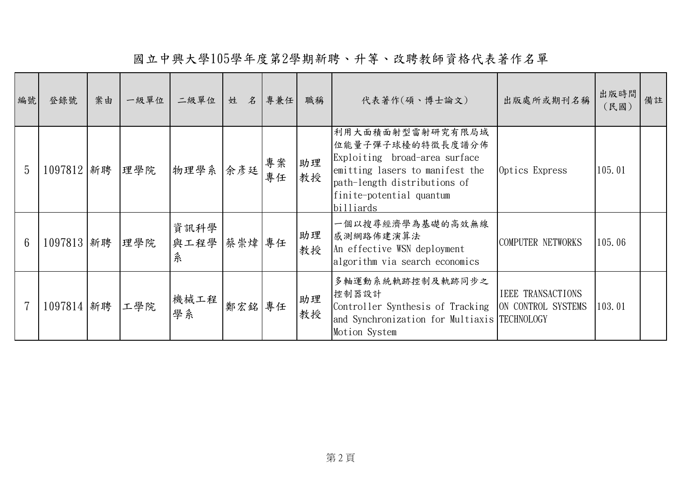國立中興大學105學年度第2學期新聘、升等、改聘教師資格代表著作名單

| 編號             | 登錄號            | 案由 | 一級單位 | 二級單位              | 姓      | 名 專兼任    | 職稱       | 代表著作(碩、博士論文)                                                                                                                                                                      | 出版處所或期刊名稱                | 出版時間 <br>(民國) | 備註 |
|----------------|----------------|----|------|-------------------|--------|----------|----------|-----------------------------------------------------------------------------------------------------------------------------------------------------------------------------------|--------------------------|---------------|----|
| 5              | 1097812 新聘 埋學院 |    |      | 物理學系 余彦廷          |        | 專案<br>專任 | 助理<br>教授 | 利用大面積面射型雷射研究有限局域<br>位能量子彈子球檯的特徵長度譜分佈<br>Exploiting broad-area surface<br>emitting lasers to manifest the<br>path-length distributions of<br>finite-potential quantum<br>billiards | Optics Express           | 105.01        |    |
| $6\phantom{1}$ | 1097813 新聘 埋學院 |    |      | 資訊科學<br>與工程學<br>糸 | 蔡崇煒 專任 |          | 助理<br>教授 | 一個以搜尋經濟學為基礎的高效無線<br>感測網路佈建演算法<br>An effective WSN deployment<br>algorithm via search economics                                                                                    | COMPUTER NETWORKS        | 105.06        |    |
|                | 1097814 新聘 工學院 |    |      | 機械工程<br>學系        | 鄭宏銘專任  |          | 助理<br>教授 | 多軸運動系統軌跡控制及軌跡同步之<br>控制器設計<br>Controller Synthesis of Tracking  ON CONTROL SYSTEMS<br>and Synchronization for Multiaxis TECHNOLOGY<br>Motion System                                | <b>IEEE TRANSACTIONS</b> | 103.01        |    |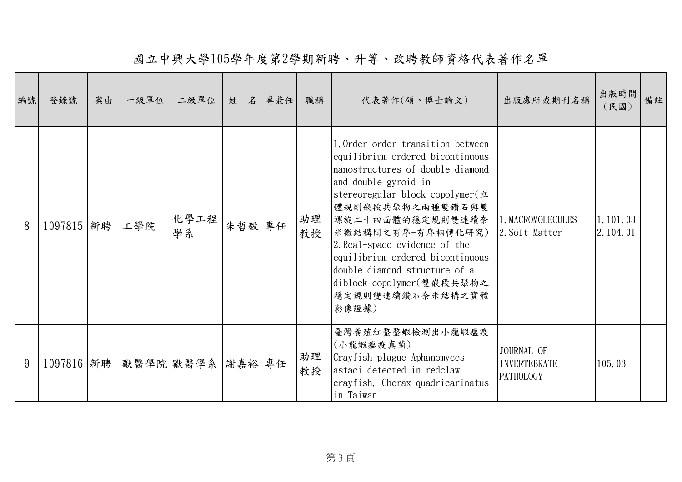國立中興大學105學年度第2學期新聘、升等、改聘教師資格代表著作名單

| 編號 | 登錄號        | 案由 | 一級單位 | 二級單位                        | 姓      | 名專兼任 | 職稱       | 代表著作(碩、博士論文)                                                                                                                                                                                                                                                                                                                                                                                       | 出版處所或期刊名稱                                      | 出版時間<br>(民國)           | 備註 |
|----|------------|----|------|-----------------------------|--------|------|----------|----------------------------------------------------------------------------------------------------------------------------------------------------------------------------------------------------------------------------------------------------------------------------------------------------------------------------------------------------------------------------------------------------|------------------------------------------------|------------------------|----|
| 8  | 1097815 新聘 |    | 工學院  | 化學工程 <br>學系                 | 朱哲毅 專任 |      | 助理<br>教授 | 1.0rder-order transition between<br>equilibrium ordered bicontinuous<br>nanostructures of double diamond<br>and double gyroid in<br>stereoregular block copolymer(立<br>體規則嵌段共聚物之兩種雙鑽石與雙<br> 螺旋二十四面體的穩定規則雙連續奈 <br>米微結構間之有序-有序相轉化研究)<br>2. Real-space evidence of the<br>equilibrium ordered bicontinuous<br>double diamond structure of a<br>diblock copolymer(雙嵌段共聚物之<br>穩定規則雙連續鑽石奈米結構之實體<br>影像證據) | 1. MACROMOLECULES<br>2. Soft Matter            | 1, 101, 03<br>2.104.01 |    |
| 9  |            |    |      | 1097816 新聘 默醫學院 獸醫學系 謝嘉裕 專任 |        |      | 助理<br>教授 | 臺灣養殖紅螯螯蝦檢測出小龍蝦瘟疫<br>(小龍蝦瘟疫真菌)<br>Crayfish plague Aphanomyces<br>astaci detected in redclaw<br>crayfish, Cherax quadricarinatus<br>in Taiwan                                                                                                                                                                                                                                                        | JOURNAL OF<br><b>INVERTEBRATE</b><br>PATHOLOGY | 105.03                 |    |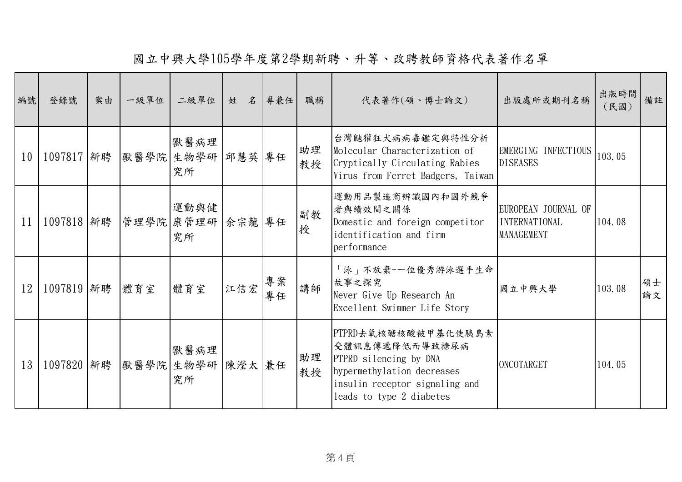國立中興大學105學年度第2學期新聘、升等、改聘教師資格代表著作名單

| 編號 | 登錄號            | 案由 | 一級單位 | 二級單位                                        | 姓 名 專兼任 |          | 職稱       | 代表著作(碩、博士論文)                                                                                                                                                | 出版處所或期刊名稱                                                        | 出版時間 <br>(民國) | 備註       |
|----|----------------|----|------|---------------------------------------------|---------|----------|----------|-------------------------------------------------------------------------------------------------------------------------------------------------------------|------------------------------------------------------------------|---------------|----------|
| 10 |                |    |      | 獸醫病理<br>1097817 新聘 默醫學院 生物學研 邱慧英 專任<br>究所   |         |          | 助理<br>教授 | 台灣鼬獾狂犬病病毒鑑定與特性分析<br>Molecular Characterization of<br>Cryptically Circulating Rabies<br>Virus from Ferret Badgers, Taiwan                                    | EMERGING INFECTIOUS<br><b>DISEASES</b>                           | 103.05        |          |
| 11 |                |    |      | 運動與健<br>1097818 新聘  管理學院 康管理研  余宗龍 專任<br>究所 |         |          | 副教<br>授  | 運動用品製造商辨識國內和國外競爭<br>者與績效間之關係<br>Domestic and foreign competitor<br>identification and firm<br>performance                                                   | EUROPEAN JOURNAL OF<br><b>INTERNATIONAL</b><br><b>MANAGEMENT</b> | 104.08        |          |
| 12 | 1097819 新聘 體育室 |    |      | 體育室                                         | 江信宏     | 專案<br>專任 | 講師       | 「泳」不放棄-一位優秀游泳選手生命<br>故事之探究<br>Never Give Up-Research An<br>Excellent Swimmer Life Story                                                                     | 國立中興大學                                                           | 103.08        | 碩士<br>論文 |
| 13 |                |    |      | 獸醫病理<br>1097820 新聘 默醫學院 生物學研 陳瀅太 兼任<br>究所   |         |          | 助理<br>教授 | PTPRD去氧核醣核酸被甲基化使胰島素<br>受體訊息傳遞降低而導致糖尿病<br>PTPRD silencing by DNA<br>hypermethylation decreases<br>insulin receptor signaling and<br>leads to type 2 diabetes | ONCOTARGET                                                       | 104.05        |          |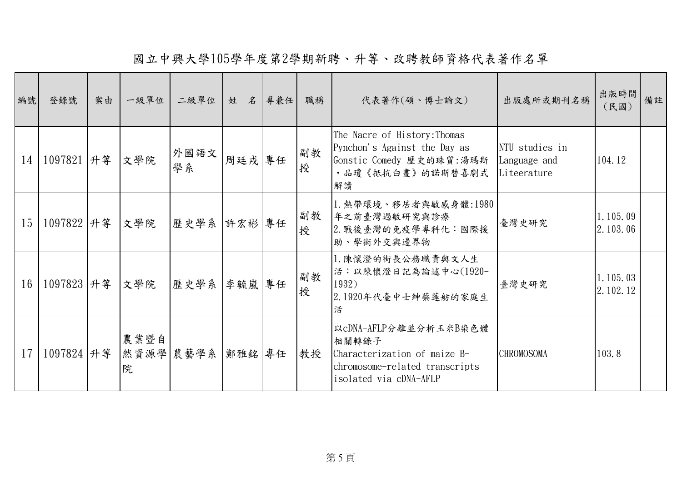國立中興大學105學年度第2學期新聘、升等、改聘教師資格代表著作名單

| 編號 | 登錄號                | 案由 | 一級單位                     | 二級單位 姓 名 專兼任 |        | 職稱      | 代表著作(碩、博士論文)                                                                                                               | 出版處所或期刊名稱                                     | 出版時間<br>(民國)             | 備註 |
|----|--------------------|----|--------------------------|--------------|--------|---------|----------------------------------------------------------------------------------------------------------------------------|-----------------------------------------------|--------------------------|----|
| 14 | 1097821  升等        |    | 文學院                      | 外國語文<br>學系   | 周廷戎 專任 | 副教<br>授 | The Nacre of History: Thomas<br>Pynchon's Against the Day as<br>Gonstic Comedy 歷史的珠質:湯瑪斯<br>·品瓊《抵抗白晝》的諾斯替喜劇式<br>解讀         | NTU studies in<br>Language and<br>Liteerature | 104.12                   |    |
| 15 | 1097822  升等  文學院   |    |                          | 歷史學系  許宏彬 專任 |        | 副教<br>授 | 1. 熱帶環境、移居者與敏感身體:1980<br>年之前臺灣過敏研究與診療<br>2. 戰後臺灣的免疫學專科化:國際援<br>助、學術外交與邊界物                                                  | 臺灣史研究                                         | 1.105.09<br>[2. 103. 06] |    |
| 16 | 1097823   升等   文學院 |    |                          | 歷史學系  李毓嵐 專任 |        | 副教<br>授 | 1. 陳懷澄的街長公務職責與文人生<br>活:以陳懷澄日記為論述中心(1920-<br>1932)<br>2.1920年代臺中士紳蔡蓮舫的家庭生<br>活                                              | 臺灣史研究                                         | 1.105.03<br>2.102.12     |    |
| 17 | 1097824  升等        |    | 農業暨自<br> 然資源學 農藝學系 <br>院 |              | 鄭雅銘 專任 | 教授      | 以cDNA-AFLP分離並分析玉米B染色體<br>相關轉錄子<br>Characterization of maize B-<br>chromosome-related transcripts<br>isolated via cDNA-AFLP | <b>CHROMOSOMA</b>                             | 103.8                    |    |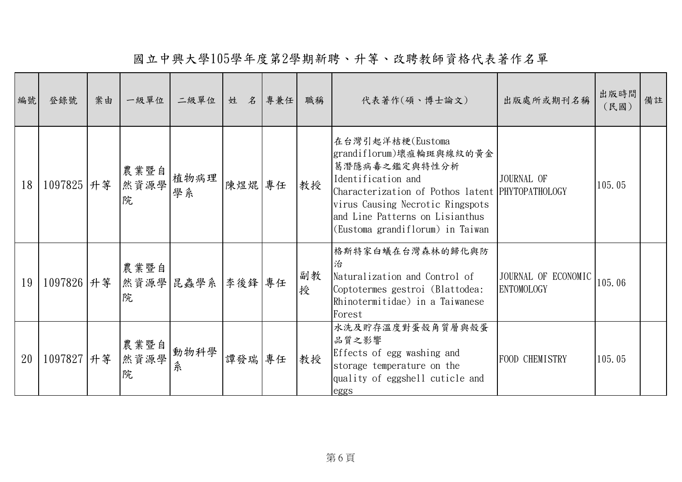國立中興大學105學年度第2學期新聘、升等、改聘教師資格代表著作名單

| 編號 | 登錄號        | 案由 | 一級單位              | 二級單位             | 姓 名 專兼任 | 職稱      | 代表著作(碩、博士論文)                                                                                                                                                                                                                                      | 出版處所或期刊名稱                                | 出版時間<br>(民國) | 備註 |
|----|------------|----|-------------------|------------------|---------|---------|---------------------------------------------------------------------------------------------------------------------------------------------------------------------------------------------------------------------------------------------------|------------------------------------------|--------------|----|
| 18 | 1097825 升等 |    | 農業暨自<br>然資源學<br>院 | 植物病理<br>學系       | 陳煜焜 專任  | 教授      | 在台灣引起洋桔梗(Eustoma<br>grandiflorum)壞疽輪斑與線紋的黃金<br>葛潛隱病毒之鑑定與特性分析<br>Identification and<br>Characterization of Pothos latent PHYTOPATHOLOGY<br>virus Causing Necrotic Ringspots<br>and Line Patterns on Lisianthus<br>(Eustoma grandiflorum) in Taiwan | JOURNAL OF                               | 105.05       |    |
| 19 | 1097826 升等 |    | 農業暨自<br>院         | 然資源學 昆蟲學系 李後鋒 專任 |         | 副教<br>授 | 格斯特家白蟻在台灣森林的歸化與防<br>治<br>Naturalization and Control of<br>Coptotermes gestroi (Blattodea:<br>Rhinotermitidae) in a Taiwanese<br>Forest                                                                                                            | JOURNAL OF ECONOMIC<br><b>ENTOMOLOGY</b> | 105.06       |    |
| 20 | 1097827 升等 |    | 農業暨自<br>然資源學<br>院 | 動物科學<br>糸        | 譚發瑞 專任  | 教授      | 水洗及貯存溫度對蛋殼角質層與殼蛋<br>品質之影響<br>Effects of egg washing and<br>storage temperature on the<br>quality of eggshell cuticle and<br>eggs                                                                                                                  | FOOD CHEMISTRY                           | 105.05       |    |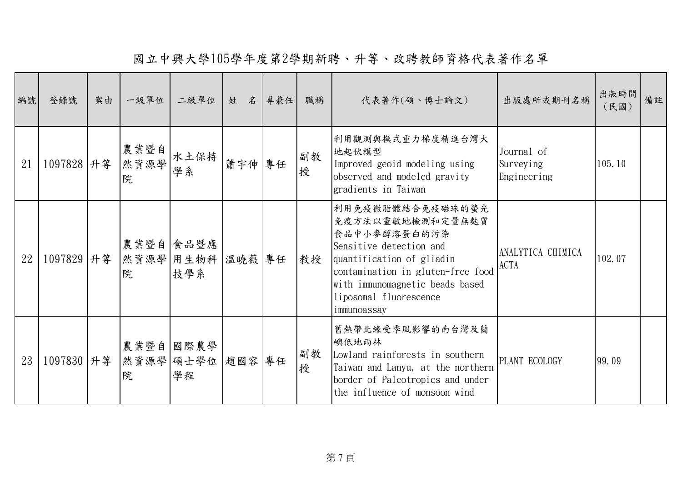國立中興大學105學年度第2學期新聘、升等、改聘教師資格代表著作名單

| 編號 | 登錄號         | 案由 | 一級單位               | 二級單位                                  | 姓 名 專兼任 | 職稱      | 代表著作(碩、博士論文)                                                                                                                                                                                                                  | 出版處所或期刊名稱                              | 出版時間<br>(民國) | 備註 |
|----|-------------|----|--------------------|---------------------------------------|---------|---------|-------------------------------------------------------------------------------------------------------------------------------------------------------------------------------------------------------------------------------|----------------------------------------|--------------|----|
| 21 | 1097828  升等 |    | 農業暨自 <br>然資源學<br>院 | 水土保持   蕭宇伸   專任<br>學系                 |         | 副教<br>授 | 利用觀測與模式重力梯度精進台灣大<br>地起伏模型<br>Improved geoid modeling using<br>observed and modeled gravity<br>gradients in Taiwan                                                                                                             | Journal of<br>Surveying<br>Engineering | 105.10       |    |
| 22 | 1097829  升等 |    | 院                  | 農業暨自 食品暨應<br>然資源學 用生物科 溫曉薇 專任<br> 技學系 |         | 教授      | 利用免疫微脂體結合免疫磁珠的螢光<br>免疫方法以靈敏地檢測和定量無麩質<br>食品中小麥醇溶蛋白的污染<br>Sensitive detection and<br>quantification of gliadin<br>contamination in gluten-free food<br>with immunomagnetic beads based<br>liposomal fluorescence<br>immunoassay | ANALYTICA CHIMICA<br><b>ACTA</b>       | 102.07       |    |
| 23 | 1097830 升等  |    | 院                  | 農業暨自 國際農學<br>然資源學 碩士學位 趙國容 專任<br>學程   |         | 副教<br>授 | 舊熱帶北緣受季風影響的南台灣及蘭<br>嶼低地雨林<br>Lowland rainforests in southern<br>Taiwan and Lanyu, at the northern<br>border of Paleotropics and under<br>the influence of monsoon wind                                                        | PLANT ECOLOGY                          | 99.09        |    |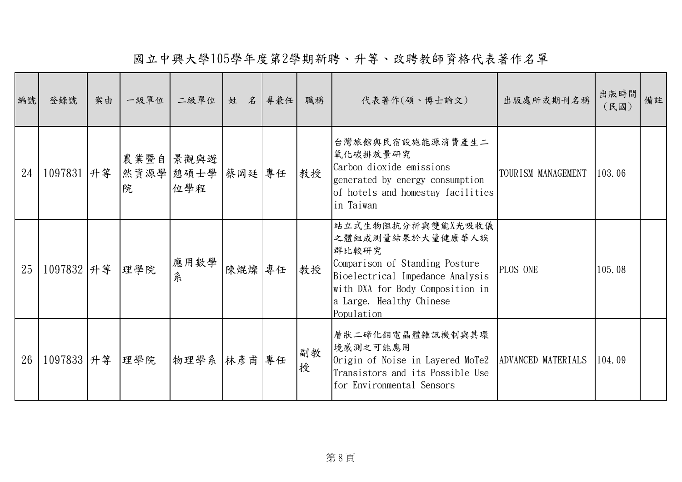國立中興大學105學年度第2學期新聘、升等、改聘教師資格代表著作名單

| 編號 | 登錄號              | 案由 | 一級單位           | 二級單位             | 姓 名 專兼任 | 職稱      | 代表著作(碩、博士論文)                                                                                                                                                                                       | 出版處所或期刊名稱          | 出版時間<br>(民國) | 備註 |
|----|------------------|----|----------------|------------------|---------|---------|----------------------------------------------------------------------------------------------------------------------------------------------------------------------------------------------------|--------------------|--------------|----|
| 24 | 1097831  升等      |    | 然資源學 憩碩士學<br>院 | 農業暨自 景觀與遊<br>位學程 | 蔡岡廷 專任  | 教授      | 台灣旅館與民宿設施能源消費產生二<br>氧化碳排放量研究<br>Carbon dioxide emissions<br>generated by energy consumption<br>of hotels and homestay facilities<br>in Taiwan                                                      | TOURISM MANAGEMENT | 103.06       |    |
| 25 | 1097832 升等       |    | 理學院            | 應用數學<br>糸        | 陳焜燦 專任  | 教授      | 站立式生物阻抗分析與雙能X光吸收儀<br>之體組成測量結果於大量健康華人族<br>群比較研究<br>Comparison of Standing Posture<br>Bioelectrical Impedance Analysis<br>with DXA for Body Composition in<br>a Large, Healthy Chinese<br>Population | PLOS ONE           | 105.08       |    |
| 26 | 1097833  升等  理學院 |    |                | 物理學系  林彥甫 專任     |         | 副教<br>授 | 層狀二碲化鉬電晶體雜訊機制與其環<br>境感測之可能應用<br>Origin of Noise in Layered MoTe2<br>Transistors and its Possible Use<br>for Environmental Sensors                                                                  | ADVANCED MATERIALS | 104.09       |    |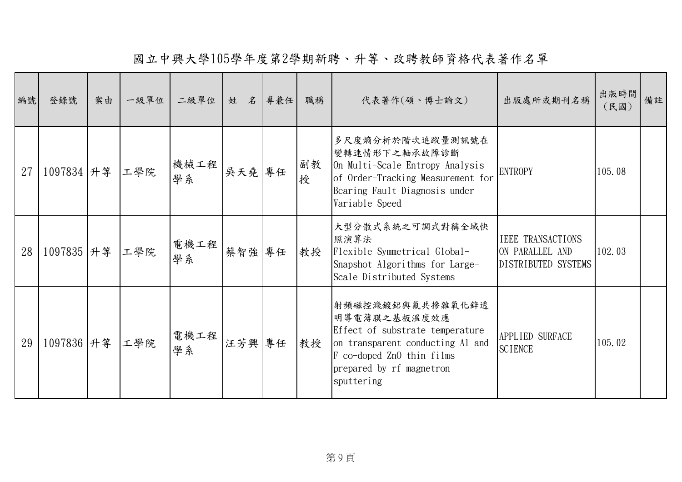國立中興大學105學年度第2學期新聘、升等、改聘教師資格代表著作名單

| 編號 | 登錄號        | 案由 | 一級單位 | 二級單位       | 姓 名 專兼任 |    | 職稱      | 代表著作(碩、博士論文)                                                                                                                                                                   | 出版處所或期刊名稱                                                          | 出版時間<br>(民國) | 備註 |
|----|------------|----|------|------------|---------|----|---------|--------------------------------------------------------------------------------------------------------------------------------------------------------------------------------|--------------------------------------------------------------------|--------------|----|
| 27 | 1097834 升等 |    | 工學院  | 機械工程<br>學系 | 吳天堯 專任  |    | 副教<br>授 | 多尺度熵分析於階次追蹤量測訊號在<br>變轉速情形下之軸承故障診斷<br>On Multi-Scale Entropy Analysis<br>of Order-Tracking Measurement for<br>Bearing Fault Diagnosis under<br>Variable Speed                   | <b>ENTROPY</b>                                                     | 105.08       |    |
| 28 | 1097835 升等 |    | 工學院  | 電機工程<br>學系 | 蔡智強     | 專任 | 教授      | 大型分散式系統之可調式對稱全域快<br>照演算法<br>Flexible Symmetrical Global-<br>Snapshot Algorithms for Large-<br>Scale Distributed Systems                                                        | <b>IEEE TRANSACTIONS</b><br>ON PARALLEL AND<br>DISTRIBUTED SYSTEMS | 102.03       |    |
| 29 | 1097836 升等 |    | 工學院  | 電機工程<br>學系 | 汪芳興 專任  |    | 教授      | 射頻磁控濺鍍鋁與氟共摻雜氧化鋅透<br>明導電薄膜之基板溫度效應<br>Effect of substrate temperature<br>on transparent conducting Al and<br>F co-doped ZnO thin films<br>prepared by rf magnetron<br>sputtering | APPLIED SURFACE<br><b>SCIENCE</b>                                  | 105.02       |    |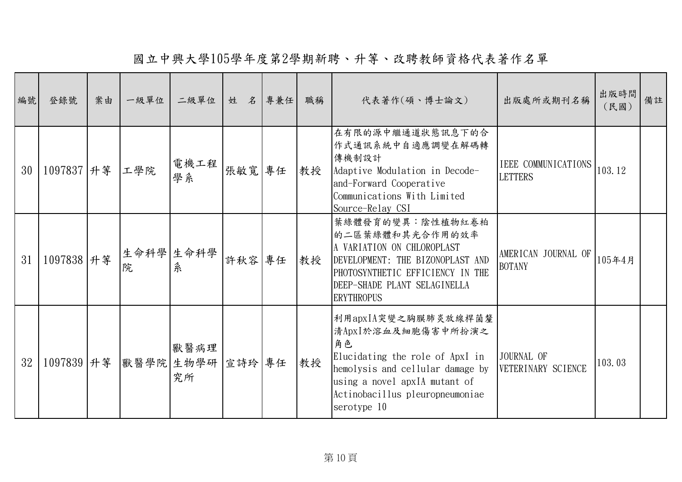國立中興大學105學年度第2學期新聘、升等、改聘教師資格代表著作名單

| 編號 | 登錄號         | 案由 | 一級單位           | 二級單位                            | 姓 名    | 專兼任 | 職稱 | 代表著作(碩、博士論文)                                                                                                                                                                                              | 出版處所或期刊名稱                                    | 出版時間<br>(民國) | 備註 |
|----|-------------|----|----------------|---------------------------------|--------|-----|----|-----------------------------------------------------------------------------------------------------------------------------------------------------------------------------------------------------------|----------------------------------------------|--------------|----|
| 30 | 1097837 升等  |    | 工學院            | 電機工程<br>學系                      | 張敏寬 專任 |     | 教授 | 在有限的源中繼通道狀態訊息下的合<br>作式通訊系統中自適應調變在解碼轉<br>傳機制設計<br>Adaptive Modulation in Decode-<br>and-Forward Cooperative<br>Communications With Limited<br>Source-Relay CSI                                             | <b>IEEE COMMUNICATIONS</b><br><b>LETTERS</b> | 103.12       |    |
| 31 | 1097838 升等  |    | 生命科學 生命科學<br>院 | 糸                               | 許秋容    | 專任  | 教授 | 葉綠體發育的變異:陰性植物紅卷柏<br>的二區葉綠體和其光合作用的效率<br>A VARIATION ON CHLOROPLAST<br>DEVELOPMENT: THE BIZONOPLAST AND<br>PHOTOSYNTHETIC EFFICIENCY IN THE<br>DEEP-SHADE PLANT SELAGINELLA<br><b>ERYTHROPUS</b>            | AMERICAN JOURNAL OF<br><b>BOTANY</b>         | 105年4月       |    |
| 32 | 1097839  升等 |    |                | 獸醫病理<br> 獸醫學院 生物學研 宣詩玲 專任<br>究所 |        |     | 教授 | 利用apxIA突變之胸膜肺炎放線桿菌釐<br>清ApxI於溶血及細胞傷害中所扮演之<br>角色<br>Elucidating the role of ApxI in<br>hemolysis and cellular damage by<br>using a novel apxIA mutant of<br>Actinobacillus pleuropneumoniae<br>serotype 10 | JOURNAL OF<br>VETERINARY SCIENCE             | 103.03       |    |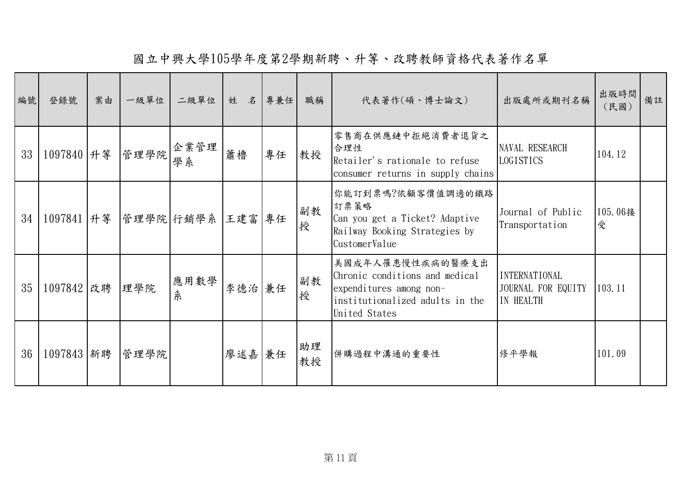國立中興大學105學年度第2學期新聘、升等、改聘教師資格代表著作名單

| 編號 | 登錄號            | 案由 | 一級單位            | 二級單位                                  | 姓 名 專兼任 |    | 職稱       | 代表著作(碩、博士論文)                                                                                                                      | 出版處所或期刊名稱                                               | 出版時間<br>(民國) | 備註 |
|----|----------------|----|-----------------|---------------------------------------|---------|----|----------|-----------------------------------------------------------------------------------------------------------------------------------|---------------------------------------------------------|--------------|----|
| 33 |                |    |                 | 1097840 丹等  管理學院  企業管理<br>學系          | 蕭櫓      | 專任 | 教授       | 零售商在供應鏈中拒絕消費者退貨之<br>合理性<br>Retailer's rationale to refuse<br>consumer returns in supply chains                                    | NAVAL RESEARCH<br>LOGISTICS                             | 104.12       |    |
| 34 |                |    |                 | 1097841   升等   管理學院   行銷學系   王建富   專任 |         |    | 副教<br>授  | 你能訂到票嗎?依顧客價值調適的鐵路<br>訂票策略<br>Can you get a Ticket? Adaptive<br>Railway Booking Strategies by<br>CustomerValue                     | Journal of Public<br>Transportation                     | 105.06接<br>受 |    |
| 35 | 1097842 改聘 埋學院 |    |                 | 應用數學<br>糸                             | 李德治 兼任  |    | 副教<br>授  | 美國成年人罹患慢性疾病的醫療支出<br>Chronic conditions and medical<br>expenditures among non-<br>institutionalized adults in the<br>United States | <b>INTERNATIONAL</b><br>JOURNAL FOR EQUITY<br>IN HEALTH | 103.11       |    |
| 36 |                |    | 1097843 新聘 當理學院 |                                       | 廖述嘉 兼任  |    | 助理<br>教授 | 併購過程中溝通的重要性                                                                                                                       | 修平學報                                                    | 101.09       |    |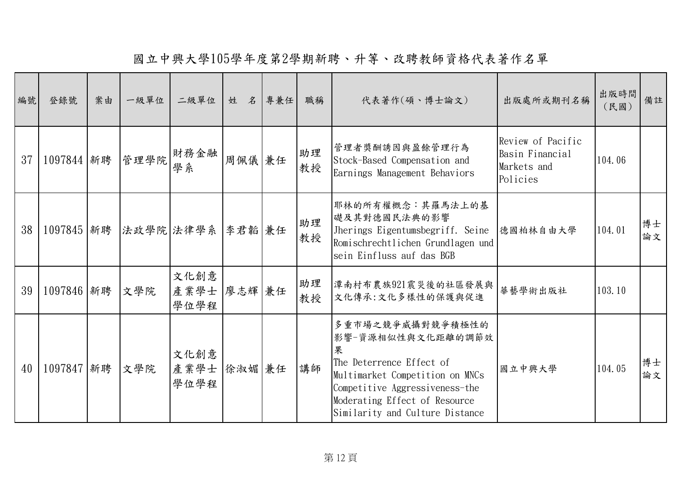國立中興大學105學年度第2學期新聘、升等、改聘教師資格代表著作名單

| 編號 | 登錄號         | 案由 | 一級單位 | 二級單位                        | 姓 名 專兼任 | 職稱       | 代表著作(碩、博士論文)                                                                                                                                                                                                    | 出版處所或期刊名稱                                                       | 出版時間<br>(民國) | 備註       |
|----|-------------|----|------|-----------------------------|---------|----------|-----------------------------------------------------------------------------------------------------------------------------------------------------------------------------------------------------------------|-----------------------------------------------------------------|--------------|----------|
| 37 | 1097844 新聘  |    | 管理學院 | 財務金融<br>學系                  | 周佩儀 兼任  | 助理<br>教授 | 管理者獎酬誘因與盈餘管理行為<br>Stock-Based Compensation and<br>Earnings Management Behaviors                                                                                                                                 | Review of Pacific<br>Basin Financial<br>Markets and<br>Policies | 104.06       |          |
| 38 | 1097845  新聘 |    |      | 法政學院 法律學系 李君韜 兼任            |         | 助理<br>教授 | 耶林的所有權概念:其羅馬法上的基<br>礎及其對德國民法典的影響<br>Jherings Eigentumsbegriff. Seine<br>Romischrechtlichen Grundlagen und<br>sein Einfluss auf das BGB                                                                          | 德國柏林自由大學                                                        | 104.01       | 博士<br>論文 |
| 39 | 1097846 新聘  |    | 文學院  | 文化創意<br>產業學士 廖志輝 兼任<br>學位學程 |         | 助理<br>教授 | 潭南村布農族921震災後的社區發展與<br>文化傳承:文化多樣性的保護與促進                                                                                                                                                                          | 華藝學術出版社                                                         | 103.10       |          |
| 40 | 1097847 新聘  |    | 文學院  | 文化創意<br>產業學士 徐淑媚 兼任<br>學位學程 |         | 講師       | 多重市場之競爭威攝對競爭積極性的<br>影響-資源相似性與文化距離的調節效<br>果<br>The Deterrence Effect of<br>Multimarket Competition on MNCs<br>Competitive Aggressiveness-the<br>Moderating Effect of Resource<br>Similarity and Culture Distance | 國立中興大學                                                          | 104.05       | 博士<br>論文 |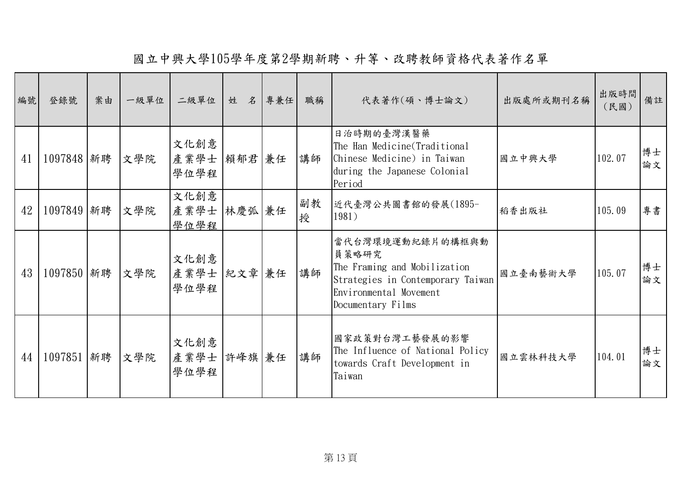國立中興大學105學年度第2學期新聘、升等、改聘教師資格代表著作名單

| 編號 | 登錄號         | 案由 | 一級單位 | 二級單位                          | 名<br>姓 | 專兼任 | 職稱      | 代表著作(碩、博士論文)                                                                                                                                  | 出版處所或期刊名稱 | 出版時間<br>(民國) | 備註       |
|----|-------------|----|------|-------------------------------|--------|-----|---------|-----------------------------------------------------------------------------------------------------------------------------------------------|-----------|--------------|----------|
| 41 | 1097848  新聘 |    | 文學院  | 文化創意<br>產業學士  賴郁君  兼任<br>學位學程 |        |     | 講師      | 日治時期的臺灣漢醫藥<br>The Han Medicine(Traditional<br>Chinese Medicine) in Taiwan<br>during the Japanese Colonial<br>Period                           | 國立中興大學    | 102.07       | 博士<br>論文 |
| 42 | 1097849 新聘  |    | 文學院  | 文化創意<br>產業學士<br>學位學程          | 林慶弧 兼任 |     | 副教<br>授 | 近代臺灣公共圖書館的發展(1895-<br>1981)                                                                                                                   | 稻香出版社     | 105.09       | 專書       |
| 43 | 1097850 新聘  |    | 文學院  | 文化創意<br>產業學士 紀文章 兼任<br>學位學程   |        |     | 講師      | 當代台灣環境運動紀錄片的構框與動<br>員策略研究<br>The Framing and Mobilization<br>Strategies in Contemporary Taiwan<br>Environmental Movement<br>Documentary Films | 國立臺南藝術大學  | 105.07       | 博士<br>論文 |
| 44 | 1097851  新聘 |    | 文學院  | 文化創意<br>產業學士<br>學位學程          | 許峰旗兼任  |     | 講師      | 國家政策對台灣工藝發展的影響<br>The Influence of National Policy<br>towards Craft Development in<br>Taiwan                                                  | 國立雲林科技大學  | 104.01       | 博士<br>論文 |